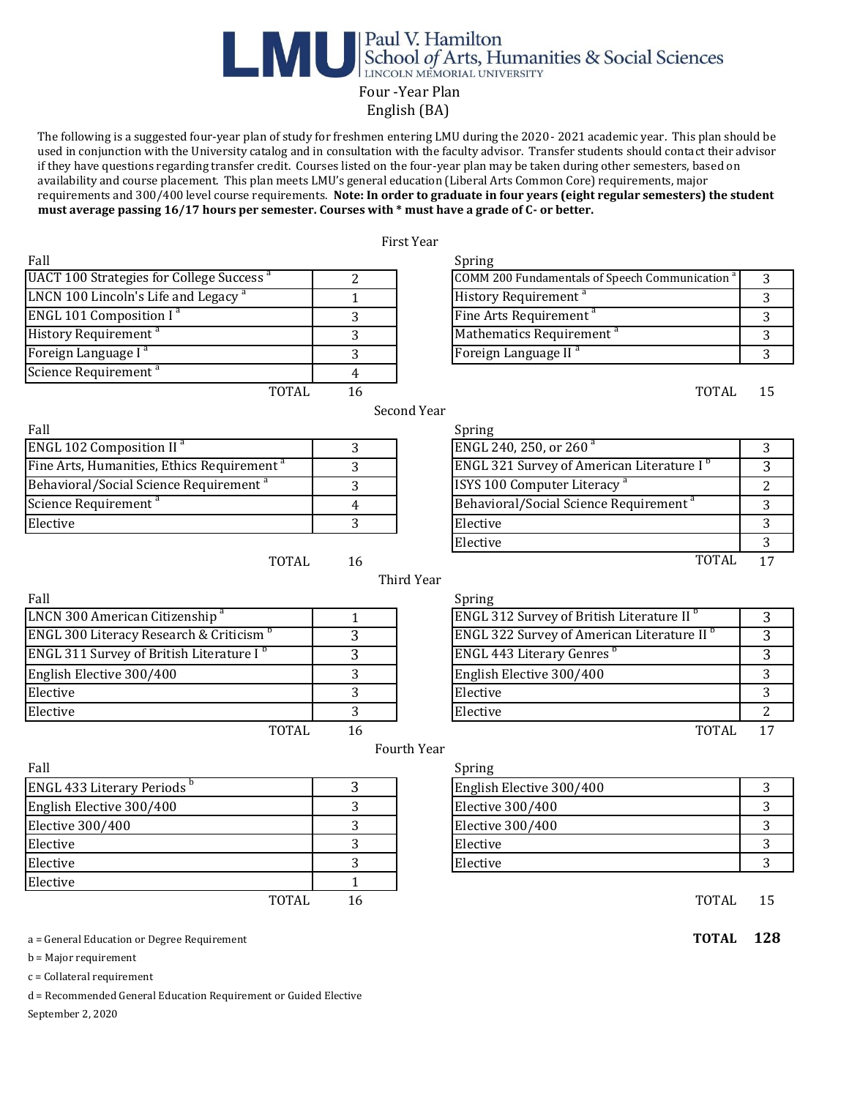## **Expansion School of Arts, Humanities & Social Sciences** Four -Year Plan

English (BA)

 The following is a suggested four-year plan of study for freshmen entering LMU during the 2020- 2021 academic year. This plan should be used in conjunction with the University catalog and in consultation with the faculty advisor. Transfer students should contact their advisor if they have questions regarding transfer credit. Courses listed on the four-year plan may be taken during other semesters, based on availability and course placement. This plan meets LMU's general education (Liberal Arts Common Core) requirements, major requirements and 300/400 level course requirements. **Note: In order to graduate in four years (eight regular semesters) the student must average passing 16/17 hours per semester. Courses with \* must have a grade of C- or better.** 

|                                                        |                | First Year                                                 |                |
|--------------------------------------------------------|----------------|------------------------------------------------------------|----------------|
| Fall                                                   |                | Spring                                                     |                |
| UACT 100 Strategies for College Success <sup>a</sup>   | 2              | COMM 200 Fundamentals of Speech Communication <sup>a</sup> | 3              |
| LNCN 100 Lincoln's Life and Legacy <sup>a</sup>        | $\mathbf{1}$   | History Requirement <sup>a</sup>                           | 3              |
| <b>ENGL 101 Composition I<sup>a</sup></b>              | 3              | Fine Arts Requirement <sup>a</sup>                         | 3              |
| History Requirement <sup>a</sup>                       | 3              | Mathematics Requirement <sup>a</sup>                       | 3              |
| Foreign Language I <sup>a</sup>                        | 3              | Foreign Language II <sup>a</sup>                           | 3              |
| Science Requirement <sup>a</sup>                       | 4              |                                                            |                |
| <b>TOTAL</b>                                           | 16             | <b>TOTAL</b>                                               | 15             |
|                                                        |                | Second Year                                                |                |
| Fall                                                   |                | Spring                                                     |                |
| <b>ENGL 102 Composition II<sup>a</sup></b>             | 3              | ENGL 240, 250, or 260 <sup>a</sup>                         | 3              |
| Fine Arts, Humanities, Ethics Requirement <sup>a</sup> | 3              | ENGL 321 Survey of American Literature I <sup>b</sup>      | $\overline{3}$ |
| Behavioral/Social Science Requirement <sup>a</sup>     | 3              | ISYS 100 Computer Literacy <sup>a</sup>                    | $\overline{2}$ |
| Science Requirement <sup>a</sup>                       | $\overline{4}$ | Behavioral/Social Science Requirement <sup>a</sup>         | 3              |
| Elective                                               | 3              | Elective                                                   | 3              |
|                                                        |                | Elective                                                   | 3              |
| TOTAL                                                  | 16             | <b>TOTAL</b>                                               | 17             |
|                                                        |                | Third Year                                                 |                |
| Fall                                                   |                | Spring                                                     |                |
| LNCN 300 American Citizenship <sup>a</sup>             | 1              | ENGL 312 Survey of British Literature II <sup>b</sup>      | 3              |
| ENGL 300 Literacy Research & Criticism <sup>b</sup>    | 3              | ENGL 322 Survey of American Literature II <sup>b</sup>     | $\overline{3}$ |
| ENGL 311 Survey of British Literature I <sup>b</sup>   | $\overline{3}$ | <b>ENGL 443 Literary Genres</b> <sup>b</sup>               | $\overline{3}$ |
| English Elective 300/400                               | 3              | English Elective 300/400                                   | 3              |
| Elective                                               | 3              | Elective                                                   | 3              |
| Elective                                               | 3              | Elective                                                   | 2              |
| <b>TOTAL</b>                                           | 16             | <b>TOTAL</b>                                               | 17             |
|                                                        |                | Fourth Year                                                |                |
| Fall                                                   |                | Spring                                                     |                |
| ENGL 433 Literary Periods b                            | 3              | English Elective 300/400                                   | 3              |
| English Elective 300/400                               | 3              | <b>Elective 300/400</b>                                    | 3              |
| <b>Elective 300/400</b>                                | 3              | <b>Elective 300/400</b>                                    | 3              |
| Elective                                               | 3              | Elective                                                   | 3              |
| Elective                                               | 3              | Elective                                                   | 3              |
| Elective                                               | $\mathbf{1}$   |                                                            |                |
|                                                        |                |                                                            |                |
| <b>TOTAL</b>                                           | 16             | <b>TOTAL</b>                                               | 15             |

a = General Education or Degree Requirement **TOTAL 128**

b = Major requirement

c = Collateral requirement

d = Recommended General Education Requirement or Guided Elective

September 2, 2020